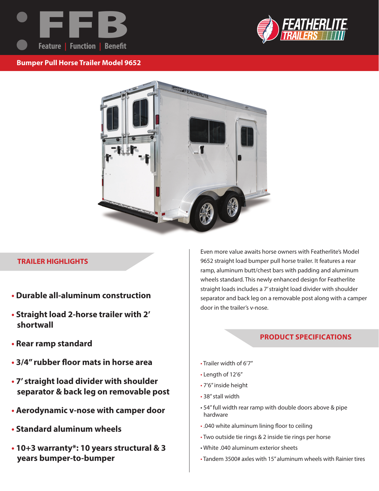



## **Bumper Pull Horse Trailer Model 9652**



#### **TRAILER HIGHLIGHTS**

- **Durable all-aluminum construction**
- **Straight load 2-horse trailer with 2' shortwall**
- **Rear ramp standard**
- **3/4" rubber floor mats in horse area**
- **7' straight load divider with shoulder separator & back leg on removable post**
- **Aerodynamic v-nose with camper door**
- **Standard aluminum wheels**
- **10+3 warranty\*: 10 years structural & 3 years bumper-to-bumper**

Even more value awaits horse owners with Featherlite's Model 9652 straight load bumper pull horse trailer. It features a rear ramp, aluminum butt/chest bars with padding and aluminum wheels standard. This newly enhanced design for Featherlite straight loads includes a 7' straight load divider with shoulder separator and back leg on a removable post along with a camper door in the trailer's v-nose.

# **PRODUCT SPECIFICATIONS**

- Trailer width of 6'7"
- Length of 12'6"
- 7'6" inside height
- 38" stall width
- 54" full width rear ramp with double doors above & pipe hardware
- .040 white aluminum lining floor to ceiling
- Two outside tie rings & 2 inside tie rings per horse
- White .040 aluminum exterior sheets
- Tandem 3500# axles with 15" aluminum wheels with Rainier tires